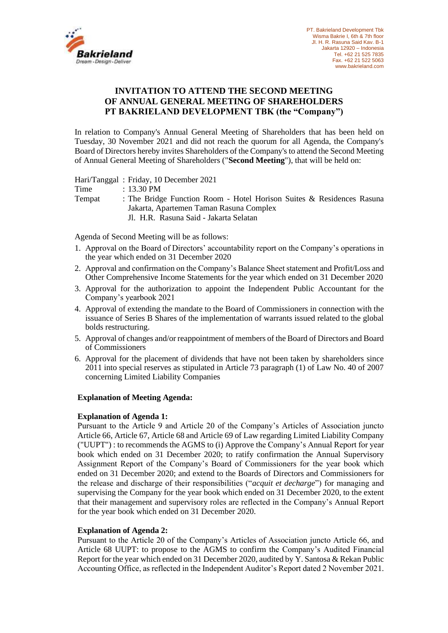

# **INVITATION TO ATTEND THE SECOND MEETING OF ANNUAL GENERAL MEETING OF SHAREHOLDERS PT BAKRIELAND DEVELOPMENT TBK (the "Company")**

In relation to Company's Annual General Meeting of Shareholders that has been held on Tuesday, 30 November 2021 and did not reach the quorum for all Agenda, the Company's Board of Directors hereby invites Shareholders of the Company's to attend the Second Meeting of Annual General Meeting of Shareholders ("**Second Meeting**"), that will be held on:

Hari/Tanggal : Friday, 10 December 2021

| Time   | $\pm$ 13.30 PM                                                        |
|--------|-----------------------------------------------------------------------|
| Tempat | : The Bridge Function Room - Hotel Horison Suites & Residences Rasuna |
|        | Jakarta, Apartemen Taman Rasuna Complex                               |
|        | Jl. H.R. Rasuna Said - Jakarta Selatan                                |

Agenda of Second Meeting will be as follows:

- 1. Approval on the Board of Directors' accountability report on the Company's operations in the year which ended on 31 December 2020
- 2. Approval and confirmation on the Company's Balance Sheet statement and Profit/Loss and Other Comprehensive Income Statements for the year which ended on 31 December 2020
- 3. Approval for the authorization to appoint the Independent Public Accountant for the Company's yearbook 2021
- 4. Approval of extending the mandate to the Board of Commissioners in connection with the issuance of Series B Shares of the implementation of warrants issued related to the global bolds restructuring.
- 5. Approval of changes and/or reappointment of members of the Board of Directors and Board of Commissioners
- 6. Approval for the placement of dividends that have not been taken by shareholders since 2011 into special reserves as stipulated in Article 73 paragraph (1) of Law No. 40 of 2007 concerning Limited Liability Companies

#### **Explanation of Meeting Agenda:**

#### **Explanation of Agenda 1:**

Pursuant to the Article 9 and Article 20 of the Company's Articles of Association juncto Article 66, Article 67, Article 68 and Article 69 of Law regarding Limited Liability Company ("UUPT") : to recommends the AGMS to (i) Approve the Company's Annual Report for year book which ended on 31 December 2020; to ratify confirmation the Annual Supervisory Assignment Report of the Company's Board of Commissioners for the year book which ended on 31 December 2020; and extend to the Boards of Directors and Commissioners for the release and discharge of their responsibilities ("*acquit et decharge*") for managing and supervising the Company for the year book which ended on 31 December 2020, to the extent that their management and supervisory roles are reflected in the Company's Annual Report for the year book which ended on 31 December 2020.

#### **Explanation of Agenda 2:**

Pursuant to the Article 20 of the Company's Articles of Association juncto Article 66, and Article 68 UUPT: to propose to the AGMS to confirm the Company's Audited Financial Report for the year which ended on 31 December 2020, audited by Y. Santosa & Rekan Public Accounting Office, as reflected in the Independent Auditor's Report dated 2 November 2021.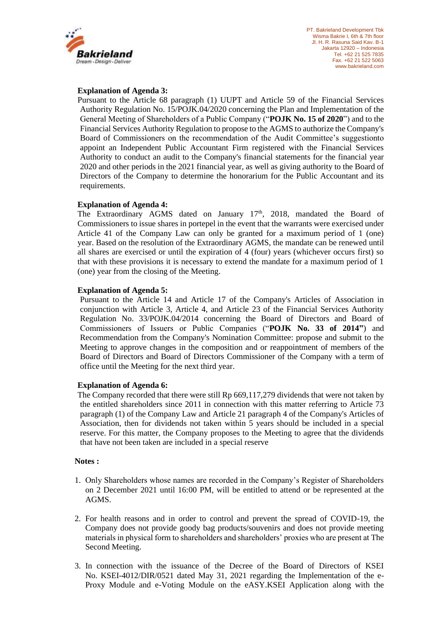

## **Explanation of Agenda 3:**

Pursuant to the Article 68 paragraph (1) UUPT and Article 59 of the Financial Services Authority Regulation No. 15/POJK.04/2020 concerning the Plan and Implementation of the General Meeting of Shareholders of a Public Company ("**POJK No. 15 of 2020**") and to the Financial Services Authority Regulation to propose to the AGMS to authorize the Company's Board of Commissioners on the recommendation of the Audit Committee's suggestionto appoint an Independent Public Accountant Firm registered with the Financial Services Authority to conduct an audit to the Company's financial statements for the financial year 2020 and other periods in the 2021 financial year, as well as giving authority to the Board of Directors of the Company to determine the honorarium for the Public Accountant and its requirements.

# **Explanation of Agenda 4:**

The Extraordinary AGMS dated on January 17<sup>th</sup>, 2018, mandated the Board of Commissioners to issue shares in portepel in the event that the warrants were exercised under Article 41 of the Company Law can only be granted for a maximum period of 1 (one) year. Based on the resolution of the Extraordinary AGMS, the mandate can be renewed until all shares are exercised or until the expiration of 4 (four) years (whichever occurs first) so that with these provisions it is necessary to extend the mandate for a maximum period of 1 (one) year from the closing of the Meeting.

#### **Explanation of Agenda 5:**

Pursuant to the Article 14 and Article 17 of the Company's Articles of Association in conjunction with Article 3, Article 4, and Article 23 of the Financial Services Authority Regulation No. 33/POJK.04/2014 concerning the Board of Directors and Board of Commissioners of Issuers or Public Companies ("**POJK No. 33 of 2014"**) and Recommendation from the Company's Nomination Committee: propose and submit to the Meeting to approve changes in the composition and or reappointment of members of the Board of Directors and Board of Directors Commissioner of the Company with a term of office until the Meeting for the next third year.

#### **Explanation of Agenda 6:**

The Company recorded that there were still Rp 669,117,279 dividends that were not taken by the entitled shareholders since 2011 in connection with this matter referring to Article 73 paragraph (1) of the Company Law and Article 21 paragraph 4 of the Company's Articles of Association, then for dividends not taken within 5 years should be included in a special reserve. For this matter, the Company proposes to the Meeting to agree that the dividends that have not been taken are included in a special reserve

#### **Notes :**

- 1. Only Shareholders whose names are recorded in the Company's Register of Shareholders on 2 December 2021 until 16:00 PM, will be entitled to attend or be represented at the AGMS.
- 2. For health reasons and in order to control and prevent the spread of COVID-19, the Company does not provide goody bag products/souvenirs and does not provide meeting materials in physical form to shareholders and shareholders' proxies who are present at The Second Meeting.
- 3. In connection with the issuance of the Decree of the Board of Directors of KSEI No. KSEI-4012/DIR/0521 dated May 31, 2021 regarding the Implementation of the e-Proxy Module and e-Voting Module on the eASY.KSEI Application along with the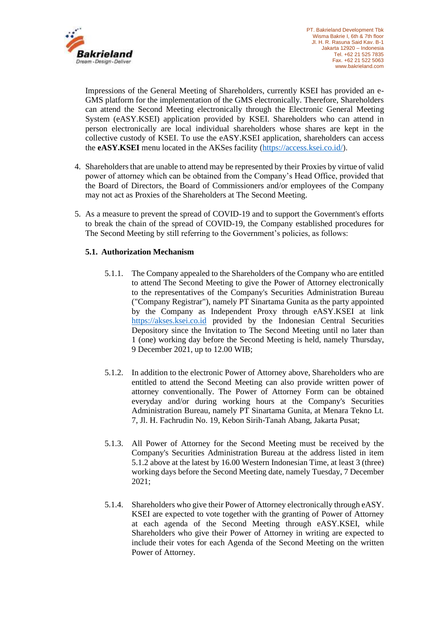

Impressions of the General Meeting of Shareholders, currently KSEI has provided an e-GMS platform for the implementation of the GMS electronically. Therefore, Shareholders can attend the Second Meeting electronically through the Electronic General Meeting System (eASY.KSEI) application provided by KSEI. Shareholders who can attend in person electronically are local individual shareholders whose shares are kept in the collective custody of KSEI. To use the eASY.KSEI application, shareholders can access the **eASY.KSEI** menu located in the AKSes facility [\(https://access.ksei.co.id/\)](https://access.ksei.co.id/).

- 4. Shareholders that are unable to attend may be represented by their Proxies by virtue of valid power of attorney which can be obtained from the Company's Head Office, provided that the Board of Directors, the Board of Commissioners and/or employees of the Company may not act as Proxies of the Shareholders at The Second Meeting.
- 5. As a measure to prevent the spread of COVID-19 and to support the Government's efforts to break the chain of the spread of COVID-19, the Company established procedures for The Second Meeting by still referring to the Government's policies, as follows:

# **5.1. Authorization Mechanism**

- 5.1.1. The Company appealed to the Shareholders of the Company who are entitled to attend The Second Meeting to give the Power of Attorney electronically to the representatives of the Company's Securities Administration Bureau ("Company Registrar"), namely PT Sinartama Gunita as the party appointed by the Company as Independent Proxy through eASY.KSEI at link [https://akses.ksei.co.id](https://akses.ksei.co.id/) provided by the Indonesian Central Securities Depository since the Invitation to The Second Meeting until no later than 1 (one) working day before the Second Meeting is held, namely Thursday, 9 December 2021, up to 12.00 WIB;
- 5.1.2. In addition to the electronic Power of Attorney above, Shareholders who are entitled to attend the Second Meeting can also provide written power of attorney conventionally. The Power of Attorney Form can be obtained everyday and/or during working hours at the Company's Securities Administration Bureau, namely PT Sinartama Gunita, at Menara Tekno Lt. 7, Jl. H. Fachrudin No. 19, Kebon Sirih-Tanah Abang, Jakarta Pusat;
- 5.1.3. All Power of Attorney for the Second Meeting must be received by the Company's Securities Administration Bureau at the address listed in item 5.1.2 above at the latest by 16.00 Western Indonesian Time, at least 3 (three) working days before the Second Meeting date, namely Tuesday, 7 December 2021;
- 5.1.4. Shareholders who give their Power of Attorney electronically through eASY. KSEI are expected to vote together with the granting of Power of Attorney at each agenda of the Second Meeting through eASY.KSEI, while Shareholders who give their Power of Attorney in writing are expected to include their votes for each Agenda of the Second Meeting on the written Power of Attorney.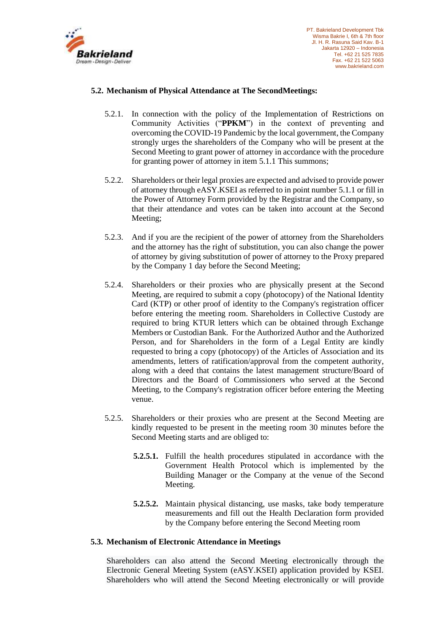

## **5.2. Mechanism of Physical Attendance at The SecondMeetings:**

- 5.2.1. In connection with the policy of the Implementation of Restrictions on Community Activities ("**PPKM**") in the context of preventing and overcoming the COVID-19 Pandemic by the local government, the Company strongly urges the shareholders of the Company who will be present at the Second Meeting to grant power of attorney in accordance with the procedure for granting power of attorney in item 5.1.1 This summons;
- 5.2.2. Shareholders or their legal proxies are expected and advised to provide power of attorney through eASY.KSEI as referred to in point number 5.1.1 or fill in the Power of Attorney Form provided by the Registrar and the Company, so that their attendance and votes can be taken into account at the Second Meeting;
- 5.2.3. And if you are the recipient of the power of attorney from the Shareholders and the attorney has the right of substitution, you can also change the power of attorney by giving substitution of power of attorney to the Proxy prepared by the Company 1 day before the Second Meeting;
- 5.2.4. Shareholders or their proxies who are physically present at the Second Meeting, are required to submit a copy (photocopy) of the National Identity Card (KTP) or other proof of identity to the Company's registration officer before entering the meeting room. Shareholders in Collective Custody are required to bring KTUR letters which can be obtained through Exchange Members or Custodian Bank. For the Authorized Author and the Authorized Person, and for Shareholders in the form of a Legal Entity are kindly requested to bring a copy (photocopy) of the Articles of Association and its amendments, letters of ratification/approval from the competent authority, along with a deed that contains the latest management structure/Board of Directors and the Board of Commissioners who served at the Second Meeting, to the Company's registration officer before entering the Meeting venue.
- 5.2.5. Shareholders or their proxies who are present at the Second Meeting are kindly requested to be present in the meeting room 30 minutes before the Second Meeting starts and are obliged to:
	- **5.2.5.1.** Fulfill the health procedures stipulated in accordance with the Government Health Protocol which is implemented by the Building Manager or the Company at the venue of the Second Meeting.
	- **5.2.5.2.** Maintain physical distancing, use masks, take body temperature measurements and fill out the Health Declaration form provided by the Company before entering the Second Meeting room

#### **5.3. Mechanism of Electronic Attendance in Meetings**

Shareholders can also attend the Second Meeting electronically through the Electronic General Meeting System (eASY.KSEI) application provided by KSEI. Shareholders who will attend the Second Meeting electronically or will provide